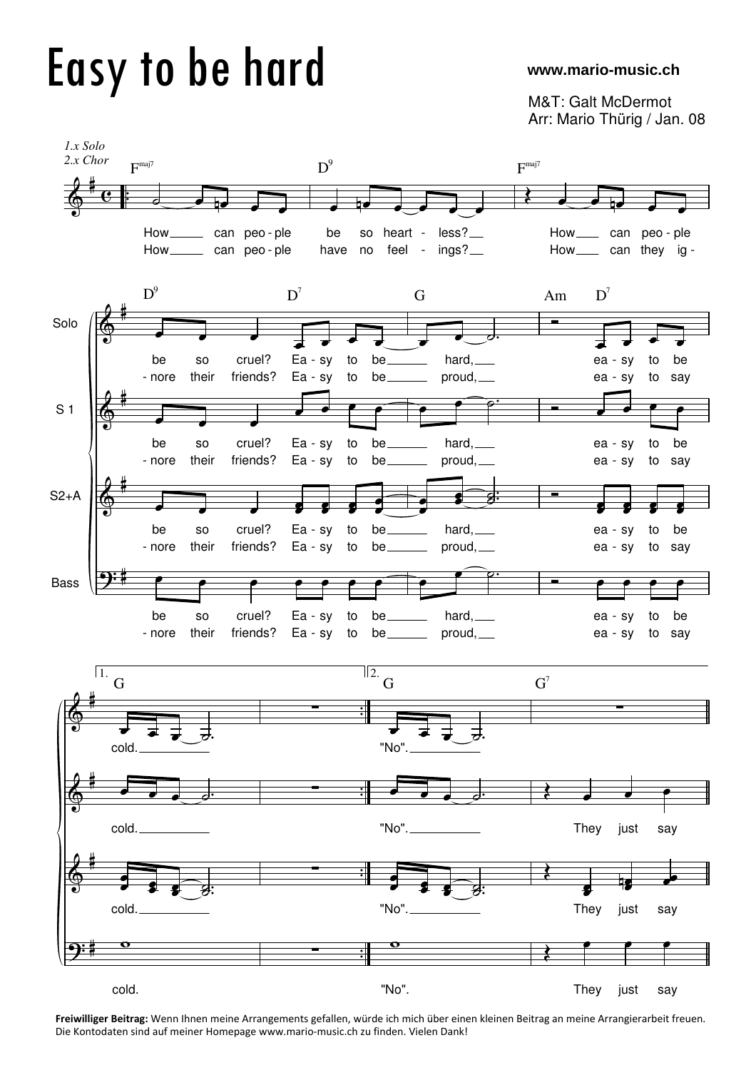## Easy to be hard

## **www.mario-music.ch**

M&T: Galt McDermot Arr: Mario Thürig / Jan. 08



**Freiwilliger Beitrag:** Wenn Ihnen meine Arrangements gefallen, würde ich mich über einen kleinen Beitrag an meine Arrangierarbeit freuen. Die Kontodaten sind auf meiner Homepage www.mario-music.ch zu finden. Vielen Dank!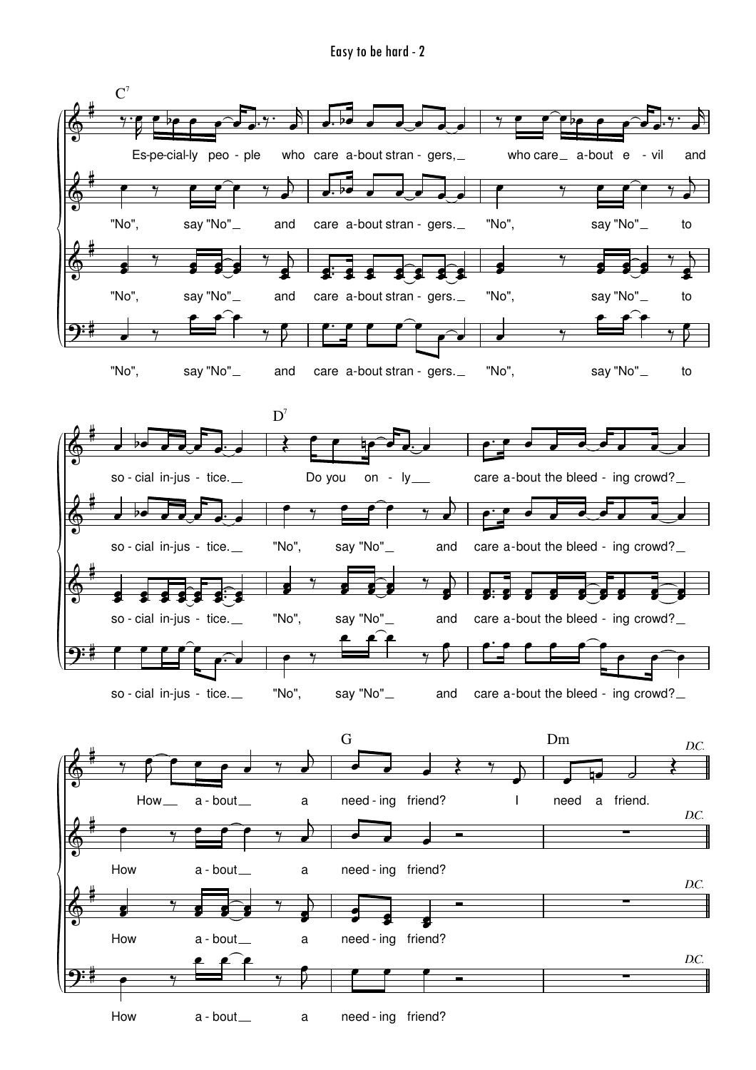Easy to be hard - 2